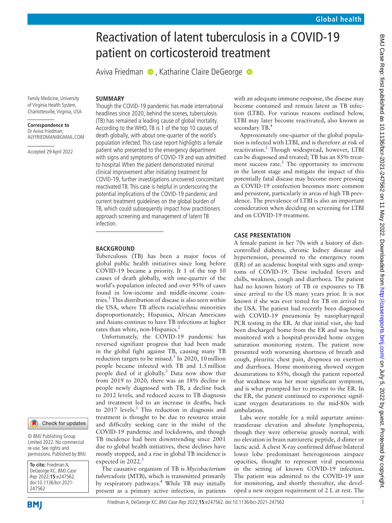# Reactivation of latent tuberculosis in a COVID-19 patient on corticosteroid treatment

AvivaFriedman  $\bullet$ , Katharine Claire DeGeorge  $\bullet$ 

Family Medicine, University of Virginia Health System, Charlottesville, Virginia, USA

#### **Correspondence to** Dr Aviva Friedman; ALYFRIEDMAN@GMAIL.COM

Accepted 29 April 2022

Though the COVID-19 pandemic has made international headlines since 2020, behind the scenes, tuberculosis (TB) has remained a leading cause of global mortality. According to the WHO, TB is 1 of the top 10 causes of death globally, with about one-quarter of the world's population infected. This case report highlights a female patient who presented to the emergency department with signs and symptoms of COVID-19 and was admitted to hospital. When the patient demonstrated minimal clinical improvement after initiating treatment for COVID-19, further investigations uncovered concomitant reactivated TB. This case is helpful in underscoring the potential implications of the COVID-19 pandemic and current treatment guidelines on the global burden of TB, which could subsequently impact how practitioners approach screening and management of latent TB infection.

## **BACKGROUND**

**SUMMARY**

Tuberculosis (TB) has been a major focus of global public health initiatives since long before COVID-19 became a priority. It 1 of the top 10 causes of death globally, with one-quarter of the world's population infected and over 95% of cases found in low-income and middle-income coun-tries.<sup>[1](#page-2-0)</sup> This distribution of disease is also seen within the USA, where TB affects racial/ethnic minorities disproportionately; Hispanics, African Americans and Asians continue to have TB infections at higher rates than white, non-Hispanics.<sup>[2](#page-2-1)</sup>

Unfortunately, the COVID-19 pandemic has reversed signifiant progress that had been made in the global fight against TB, causing many TB reduction targets to be missed. $3$  In 2020, 10 million people became infected with TB and 1.5million people died of it globally.<sup>3</sup> Data now show that from 2019 to 2020, there was an 18% decline in people newly diagnosed with TB, a decline back to 2012 levels, and reduced access to TB diagnosis and treatment led to an increase in deaths, back to 2017 levels.<sup>[3](#page-2-2)</sup> This reduction in diagnosis and treatment is thought to be due to resource strain and difficulty seeking care in the midst of the COVID-19 pandemic and lockdowns, and though TB incidence had been downtrending since 2001 due to global health initiatives, these declines have mostly stopped, and a rise in global TB incidence is expected in  $2022$ .<sup>[3](#page-2-2)</sup>

The causative organism of TB is *Mycobacterium tuberculosis* (MTB), which is transmitted primarily by respiratory pathways.<sup>[4](#page-2-3)</sup> While TB may initially present as a primary active infection, in patients

with an adequate immune response, the disease may become contained and remain latent as TB infection (LTBI). For various reasons outlined below, LTBI may later become reactivated, also known as secondary TB.<sup>[4](#page-2-3)</sup>

Approximately one-quarter of the global population is infected with LTBI, and is therefore at risk of reactivation.<sup>[1](#page-2-0)</sup> Though widespread, however, LTBI can be diagnosed and treated; TB has an 85% treatment success rate. $5$  The opportunity to intervene in the latent stage and mitigate the impact of this potentially fatal disease may become more pressing as COVID-19 coinfection becomes more common and persistent, particularly in areas of high TB prevalence. The prevalence of LTBI is also an important consideration when deciding on screening for LTBI and on COVID-19 treatment.

# **CASE PRESENTATION**

A female patient in her 70s with a history of dietcontrolled diabetes, chronic kidney disease and hypertension, presented to the emergency room (ER) of an academic hospital with signs and symptoms of COVID-19. These included fevers and chills, weakness, cough and diarrhoea. The patient had no known history of TB or exposures to TB since arrival to the US many years prior. It is not known if she was ever tested for TB on arrival to the USA. The patient had recently been diagnosed with COVID-19 pneumonia by nasopharyngeal PCR testing in the ER. At that initial visit, she had been discharged home from the ER and was being monitored with a hospital-provided home oxygen saturation monitoring system. The patient now presented with worsening shortness of breath and cough, pleuritic chest pain, dyspnoea on exertion and diarrhoea. Home monitoring showed oxygen desaturations to 85%, though the patient reported that weakness was her most significant symptom, and is what prompted her to present to the ER. In the ER, the patient continued to experience significant oxygen desaturations to the mid-80s with ambulation.

Labs were notable for a mild aspartate aminotransferase elevation and absolute lymphopenia, though they were otherwise grossly normal, with no elevation in brain natriuretic peptide, d-dimer or lactic acid. A chest X-ray confirmed diffuse bilateral lower lobe predominant heterogeneous airspace opacities, thought to represent viral pneumonia in the setting of known COVID-19 infection. The patient was admitted to the COVID-19 unit for monitoring, and shortly thereafter, she developed a new oxygen requirement of 2 L at rest. The

#### Check for updates

© BMJ Publishing Group Limited 2022. No commercial re-use. See rights and permissions. Published by BMJ.

**To cite:** Friedman A, DeGeorge KC. BMJ Case Rep 2022;**15**:e247562. doi:10.1136/bcr-2021- 247562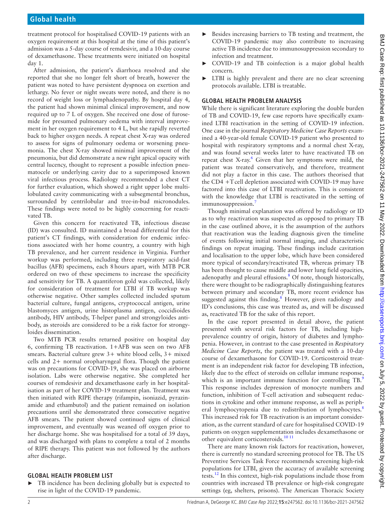treatment protocol for hospitalised COVID-19 patients with an oxygen requirement at this hospital at the time of this patient's admission was a 5-day course of remdesivir, and a 10-day course of dexamethasone. These treatments were initiated on hospital day 1.

After admission, the patient's diarrhoea resolved and she reported that she no longer felt short of breath, however the patient was noted to have persistent dyspnoea on exertion and lethargy. No fever or night sweats were noted, and there is no record of weight loss or lymphadenopathy. By hospital day 4, the patient had shown minimal clinical improvement, and now required up to 7 L of oxygen. She received one dose of furosemide for presumed pulmonary oedema with interval improvement in her oxygen requirement to 4 L, but she rapidly reverted back to higher oxygen needs. A repeat chest X-ray was ordered to assess for signs of pulmonary oedema or worsening pneumonia. The chest X-ray showed minimal improvement of the pneumonia, but did demonstrate a new right apical opacity with central lucency, thought to represent a possible infection pneumatocele or underlying cavity due to a superimposed known viral infectious process. Radiology recommended a chest CT for further evaluation, which showed a right upper lobe multilobulated cavity communicating with a subsegmental bronchus, surrounded by centrilobular and tree-in-bud micronodules. These findings were noted to be highly concerning for reactivated TB.

Given this concern for reactivated TB, infectious disease (ID) was consulted. ID maintained a broad differential for this patient's CT findings, with consideration for endemic infections associated with her home country, a country with high TB prevalence, and her current residence in Virginia. Further workup was performed, including three respiratory acid-fast bacillus (AFB) specimens, each 8hours apart, with MTB PCR ordered on two of these specimens to increase the specificity and sensitivity for TB. A quantiferon gold was collected, likely for consideration of treatment for LTBI if TB workup was otherwise negative. Other samples collected included sputum bacterial culture, fungal antigens, cryptococcal antigen, urine blastomyces antigen, urine histoplasma antigen, coccidioides antibody, HIV antibody, T-helper panel and strongyloides antibody, as steroids are considered to be a risk factor for strongyloides dissemination.

Two MTB PCR results returned positive on hospital day 6, confirming TB reactivation. 1+AFB was seen on two AFB smears. Bacterial culture grew 3+ white blood cells, 3+ mixed cells and 2+ normal oropharyngeal flora. Though the patient was on precautions for COVID-19, she was placed on airborne isolation. Labs were otherwise negative. She completed her courses of remdesivir and dexamethasone early in her hospitalisation as part of her COVID-19 treatment plan. Treatment was then initiated with RIPE therapy (rifampin, isoniazid, pyrazinamide and ethambutol) and the patient remained on isolation precautions until she demonstrated three consecutive negative AFB smears. The patient showed continued signs of clinical improvement, and eventually was weaned off oxygen prior to her discharge home. She was hospitalised for a total of 39 days, and was discharged with plans to complete a total of 2 months of RIPE therapy. This patient was not followed by the authors after discharge.

## **GLOBAL HEALTH PROBLEM LIST**

TB incidence has been declining globally but is expected to rise in light of the COVID-19 pandemic.

- Besides increasing barriers to TB testing and treatment, the COVID-19 pandemic may also contribute to increasing active TB incidence due to immunosuppression secondary to infection and treatment.
- COVID-19 and TB coinfection is a major global health concern.
- LTBI is highly prevalent and there are no clear screening protocols available. LTBI is treatable.

## **GLOBAL HEALTH PROBLEM ANALYSIS**

While there is significant literature exploring the double burden of TB and COVID-19, few case reports have specifically examined LTBI reactivation in the setting of COVID-19 infection. One case in the journal *Respiratory Medicine Case Reports* examined a 40-year-old female COVID-19 patient who presented to hospital with respiratory symptoms and a normal chest X-ray, and was found several weeks later to have reactivated TB on repeat chest X-ray. [6](#page-2-5) Given that her symptoms were mild, the patient was treated conservatively, and therefore, treatment did not play a factor in this case. The authors theorised that the CD4 +Tcell depletion associated with COVID-19 may have factored into this case of LTBI reactivation. This is consistent with the knowledge that LTBI is reactivated in the setting of immunosuppression.<sup>[7](#page-2-6)</sup>

Though minimal explanation was offered by radiology or ID as to why reactivation was suspected as opposed to primary TB in the case outlined above, it is the assumption of the authors that reactivation was the leading diagnosis given the timeline of events following initial normal imaging, and characteristic findings on repeat imaging. These findings include cavitation and localisation to the upper lobe, which have been considered more typical of secondary/reactivated TB, whereas primary TB has been thought to cause middle and lower lung field opacities, adenopathy and pleural effusions.<sup>[8](#page-2-7)</sup> Of note, though historically, there were thought to be radiographically distinguishing features between primary and secondary TB, more recent evidence has suggested against this finding.<sup>[8](#page-2-7)</sup> However, given radiology and ID's conclusions, this case was treated as, and will be discussed as, reactivated TB for the sake of this report.

In the case report presented in detail above, the patient presented with several risk factors for TB, including highprevalence country of origin, history of diabetes and lymphopenia. However, in contrast to the case presented in *Respiratory Medicine Case Reports*, the patient was treated with a 10-day course of dexamethasone for COVID-19. Corticosteroid treatment is an independent risk factor for developing TB infection, likely due to the effect of steroids on cellular immune response, which is an important immune function for controlling TB.<sup>[9](#page-2-8)</sup> This response includes depression of monocyte numbers and function, inhibition of T-cell activation and subsequent reductions in cytokine and other immune response, as well as periph-eral lymphocytopenia due to redistribution of lymphocytes.<sup>[8](#page-2-7)</sup> This increased risk for TB reactivation is an important consideration, as the current standard of care for hospitalised COVID-19 patients on oxygen supplementation includes dexamethasone or other equivalent corticosteroids.<sup>[10 11](#page-2-9)</sup>

There are many known risk factors for reactivation, however, there is currently no standard screening protocol for TB. The US Preventive Services Task Force recommends screening high-risk populations for LTBI, given the accuracy of available screening tests.[12](#page-2-10) In this context, high-risk populations include those from countries with increased TB prevalence or high-risk congregate settings (eg, shelters, prisons). The American Thoracic Society